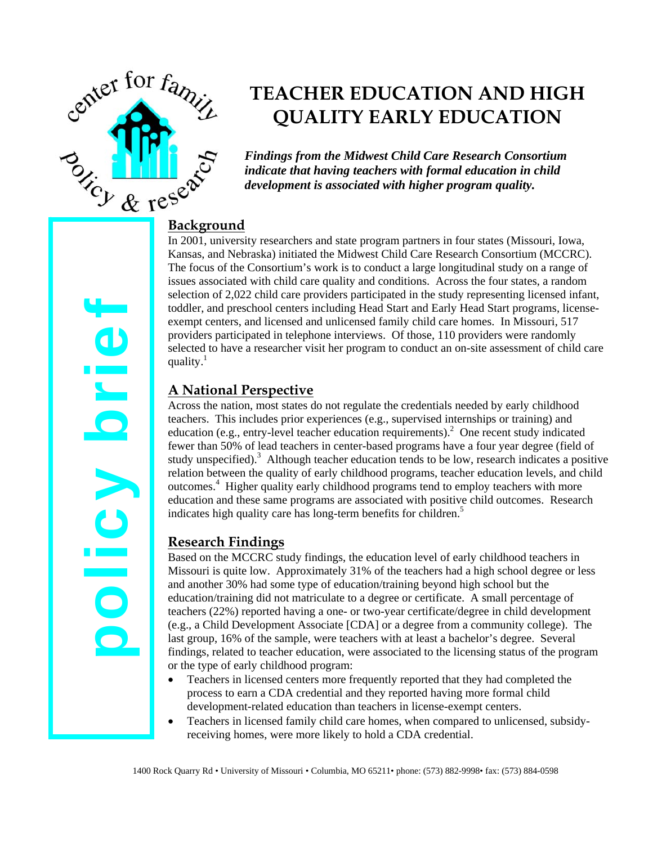

policy brief

OIICV DLIG

# **TEACHER EDUCATION AND HIGH QUALITY EARLY EDUCATION**

*Findings from the Midwest Child Care Research Consortium indicate that having teachers with formal education in child development is associated with higher program quality.* 

In 2001, university researchers and state program partners in four states (Missouri, Iowa, Kansas, and Nebraska) initiated the Midwest Child Care Research Consortium (MCCRC). The focus of the Consortium's work is to conduct a large longitudinal study on a range of issues associated with child care quality and conditions. Across the four states, a random selection of 2,022 child care providers participated in the study representing licensed infant, toddler, and preschool centers including Head Start and Early Head Start programs, licenseexempt centers, and licensed and unlicensed family child care homes. In Missouri, 517 providers participated in telephone interviews. Of those, 110 providers were randomly selected to have a researcher visit her program to conduct an on-site assessment of child care quality.<sup>1</sup>

# **A National Perspective**

Across the nation, most states do not regulate the credentials needed by early childhood teachers. This includes prior experiences (e.g., supervised internships or training) and education (e.g., entry-level teacher education requirements). $^{2}$  One recent study indicated fewer than 50% of lead teachers in center-based programs have a four year degree (field of study unspecified). $3$  Although teacher education tends to be low, research indicates a positive relation between the quality of early childhood programs, teacher education levels, and child outcomes.<sup>4</sup> Higher quality early childhood programs tend to employ teachers with more education and these same programs are associated with positive child outcomes. Research indicates high quality care has long-term benefits for children.<sup>5</sup>

## **Research Findings**

Based on the MCCRC study findings, the education level of early childhood teachers in Missouri is quite low. Approximately 31% of the teachers had a high school degree or less and another 30% had some type of education/training beyond high school but the education/training did not matriculate to a degree or certificate. A small percentage of teachers (22%) reported having a one- or two-year certificate/degree in child development (e.g., a Child Development Associate [CDA] or a degree from a community college). The last group, 16% of the sample, were teachers with at least a bachelor's degree. Several findings, related to teacher education, were associated to the licensing status of the program or the type of early childhood program:

- Teachers in licensed centers more frequently reported that they had completed the process to earn a CDA credential and they reported having more formal child development-related education than teachers in license-exempt centers.
- Teachers in licensed family child care homes, when compared to unlicensed, subsidyreceiving homes, were more likely to hold a CDA credential.